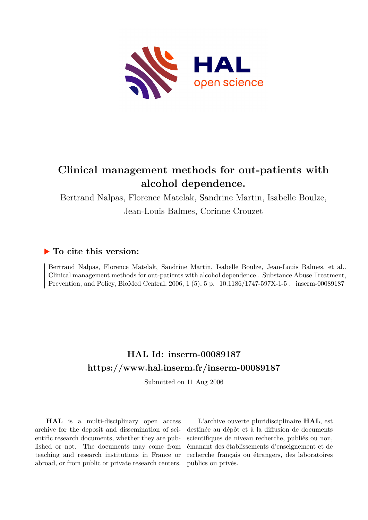

# **Clinical management methods for out-patients with alcohol dependence.**

Bertrand Nalpas, Florence Matelak, Sandrine Martin, Isabelle Boulze, Jean-Louis Balmes, Corinne Crouzet

## **To cite this version:**

Bertrand Nalpas, Florence Matelak, Sandrine Martin, Isabelle Boulze, Jean-Louis Balmes, et al.. Clinical management methods for out-patients with alcohol dependence.. Substance Abuse Treatment, Prevention, and Policy, BioMed Central, 2006, 1 (5), 5 p.  $10.1186/1747-597X-1-5$ . inserm-00089187

## **HAL Id: inserm-00089187 <https://www.hal.inserm.fr/inserm-00089187>**

Submitted on 11 Aug 2006

**HAL** is a multi-disciplinary open access archive for the deposit and dissemination of scientific research documents, whether they are published or not. The documents may come from teaching and research institutions in France or abroad, or from public or private research centers.

L'archive ouverte pluridisciplinaire **HAL**, est destinée au dépôt et à la diffusion de documents scientifiques de niveau recherche, publiés ou non, émanant des établissements d'enseignement et de recherche français ou étrangers, des laboratoires publics ou privés.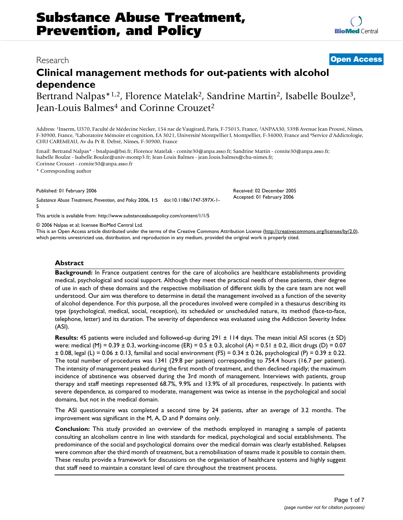## **Clinical management methods for out-patients with alcohol dependence**

Bertrand Nalpas\*1,2, Florence Matelak<sup>2</sup>, Sandrine Martin<sup>2</sup>, Isabelle Boulze<sup>3</sup>, Jean-Louis Balmes<sup>4</sup> and Corinne Crouzet<sup>2</sup>

Address: <sup>1</sup>Inserm, U370, Faculté de Médecine Necker, 154 rue de Vaugirard, Paris, F-75015, France, <sup>2</sup>ANPAA30, 539B Avenue Jean Prouvé, Nîmes, F-30900, France, <sup>3</sup>Laboratoire Mémoire et cognition, EA 3021, Université Montpellier I, Montpellier, F-34000, France and <sup>4</sup>Service d'Addictologie, CHU CAREMEAU, Av du Pr R. Debré, Nîmes, F-30900, France

Email: Bertrand Nalpas\* - bnalpas@bsi.fr; Florence Matelak - comite30@anpa.asso.fr; Sandrine Martin - comite30@anpa.asso.fr; Isabelle Boulze - Isabelle.Boulze@univ-montp3.fr; Jean-Louis Balmes - jean.louis.balmes@chu-nimes.fr; Corinne Crouzet - comite30@anpa.asso.fr

\* Corresponding author

Published: 01 February 2006

*Substance Abuse Treatment, Prevention, and Policy* 2006, **1**:5 doi:10.1186/1747-597X-1- 5

[This article is available from: http://www.substanceabusepolicy.com/content/1/1/5](http://www.substanceabusepolicy.com/content/1/1/5)

© 2006 Nalpas et al; licensee BioMed Central Ltd.

This is an Open Access article distributed under the terms of the Creative Commons Attribution License [\(http://creativecommons.org/licenses/by/2.0\)](http://creativecommons.org/licenses/by/2.0), which permits unrestricted use, distribution, and reproduction in any medium, provided the original work is properly cited.

Received: 02 December 2005 Accepted: 01 February 2006

#### **Abstract**

**Background:** In France outpatient centres for the care of alcoholics are healthcare establishments providing medical, psychological and social support. Although they meet the practical needs of these patients, their degree of use in each of these domains and the respective mobilisation of different skills by the care team are not well understood. Our aim was therefore to determine in detail the management involved as a function of the severity of alcohol dependence. For this purpose, all the procedures involved were compiled in a thesaurus describing its type (psychological, medical, social, reception), its scheduled or unscheduled nature, its method (face-to-face, telephone, letter) and its duration. The severity of dependence was evaluated using the Addiction Severity Index (ASI).

**Results:** 45 patients were included and followed-up during 291 ± 114 days. The mean initial ASI scores (± SD) were: medical (M) =  $0.39 \pm 0.3$ , working-income (ER) =  $0.5 \pm 0.3$ , alcohol (A) =  $0.51 \pm 0.2$ , illicit drugs (D) =  $0.07$  $\pm$  0.08, legal (L) = 0.06  $\pm$  0.13, familial and social environment (FS) = 0.34  $\pm$  0.26, psychological (P) = 0.39  $\pm$  0.22. The total number of procedures was 1341 (29.8 per patient) corresponding to 754.4 hours (16.7 per patient). The intensity of management peaked during the first month of treatment, and then declined rapidly; the maximum incidence of abstinence was observed during the 3rd month of management. Interviews with patients, group therapy and staff meetings represented 68.7%, 9.9% and 13.9% of all procedures, respectively. In patients with severe dependence, as compared to moderate, management was twice as intense in the psychological and social domains, but not in the medical domain.

The ASI questionnaire was completed a second time by 24 patients, after an average of 3.2 months. The improvement was significant in the M, A, D and P domains only.

**Conclusion:** This study provided an overview of the methods employed in managing a sample of patients consulting an alcoholism centre in line with standards for medical, psychological and social establishments. The predominance of the social and psychological domains over the medical domain was clearly established. Relapses were common after the third month of treatment, but a remobilisation of teams made it possible to contain them. These results provide a framework for discussions on the organisation of healthcare systems and highly suggest that staff need to maintain a constant level of care throughout the treatment process.

Research [Open Access](http://www.biomedcentral.com/info/about/charter/)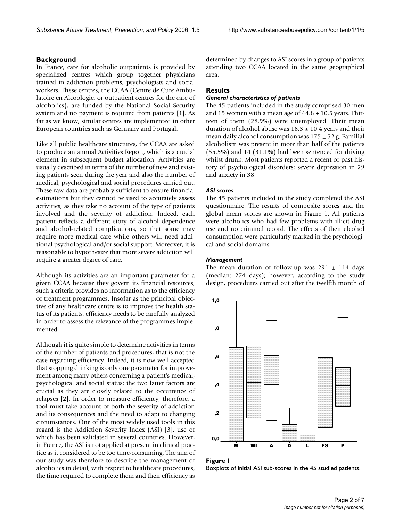#### **Background**

In France, care for alcoholic outpatients is provided by specialized centres which group together physicians trained in addiction problems, psychologists and social workers. These centres, the CCAA (Centre de Cure Ambulatoire en Alcoologie, or outpatient centres for the care of alcoholics), are funded by the National Social Security system and no payment is required from patients [1]. As far as we know, similar centres are implemented in other European countries such as Germany and Portugal.

Like all public healthcare structures, the CCAA are asked to produce an annual Activities Report, which is a crucial element in subsequent budget allocation. Activities are usually described in terms of the number of new and existing patients seen during the year and also the number of medical, psychological and social procedures carried out. These raw data are probably sufficient to ensure financial estimations but they cannot be used to accurately assess activities, as they take no account of the type of patients involved and the severity of addiction. Indeed, each patient reflects a different story of alcohol dependence and alcohol-related complications, so that some may require more medical care while others will need additional psychological and/or social support. Moreover, it is reasonable to hypothesize that more severe addiction will require a greater degree of care.

Although its activities are an important parameter for a given CCAA because they govern its financial resources, such a criteria provides no information as to the efficiency of treatment programmes. Insofar as the principal objective of any healthcare centre is to improve the health status of its patients, efficiency needs to be carefully analyzed in order to assess the relevance of the programmes implemented.

Although it is quite simple to determine activities in terms of the number of patients and procedures, that is not the case regarding efficiency. Indeed, it is now well accepted that stopping drinking is only one parameter for improvement among many others concerning a patient's medical, psychological and social status; the two latter factors are crucial as they are closely related to the occurrence of relapses [2]. In order to measure efficiency, therefore, a tool must take account of both the severity of addiction and its consequences and the need to adapt to changing circumstances. One of the most widely used tools in this regard is the Addiction Severity Index (ASI) [3], use of which has been validated in several countries. However, in France, the ASI is not applied at present in clinical practice as it considered to be too time-consuming. The aim of our study was therefore to describe the management of alcoholics in detail, with respect to healthcare procedures, the time required to complete them and their efficiency as determined by changes to ASI scores in a group of patients attending two CCAA located in the same geographical area.

### **Results**

#### *General characteristics of patients*

The 45 patients included in the study comprised 30 men and 15 women with a mean age of  $44.8 \pm 10.5$  years. Thirteen of them (28.9%) were unemployed. Their mean duration of alcohol abuse was  $16.3 \pm 10.4$  years and their mean daily alcohol consumption was  $175 \pm 52$  g. Familial alcoholism was present in more than half of the patients (55.5%) and 14 (31.1%) had been sentenced for driving whilst drunk. Most patients reported a recent or past history of psychological disorders: severe depression in 29 and anxiety in 38.

#### *ASI scores*

The 45 patients included in the study completed the ASI questionnaire. The results of composite scores and the global mean scores are shown in Figure 1. All patients were alcoholics who had few problems with illicit drug use and no criminal record. The effects of their alcohol consumption were particularly marked in the psychological and social domains.

#### *Management*

The mean duration of follow-up was  $291 \pm 114$  days (median: 274 days); however, according to the study design, procedures carried out after the twelfth month of



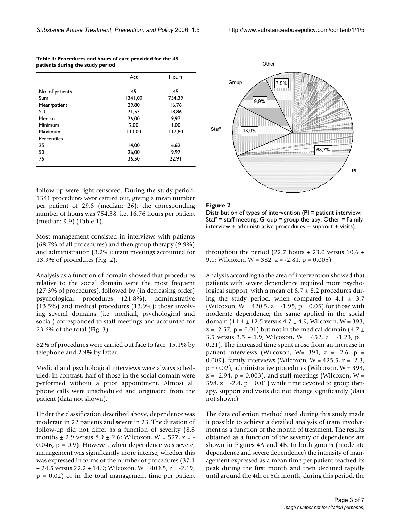|                 | Act     | Hours  |
|-----------------|---------|--------|
| No. of patients | 45      | 45     |
| Sum             | 1341,00 | 754,39 |
| Mean/patient    | 29,80   | 16,76  |
| SD              | 21,53   | 18,86  |
| Median          | 26,00   | 9,97   |
| Minimum         | 2.00    | 1,00   |
| Maximum         | 113,00  | 117,80 |
| Percentiles     |         |        |
| 25              | 14,00   | 6,62   |
| 50              | 26,00   | 9,97   |
| 75              | 36,50   | 22,91  |

**Table 1: Procedures and hours of care provided for the 45 patients during the study period**

follow-up were right-censored. During the study period, 1341 procedures were carried out, giving a mean number per patient of 29.8 (median: 26); the corresponding number of hours was 754.38, i.e. 16.76 hours per patient (median: 9.9) (Table 1).

Most management consisted in interviews with patients (68.7% of all procedures) and then group therapy (9.9%) and administration (3.2%); team meetings accounted for 13.9% of procedures (Fig. 2).

Analysis as a function of domain showed that procedures relative to the social domain were the most frequent (27.3% of procedures), followed by (in decreasing order) psychological procedures (21.8%), administrative (13.5%) and medical procedures (13.9%); those involving several domains (i.e. medical, psychological and social) corresponded to staff meetings and accounted for 23.6% of the total (Fig. 3).

82% of procedures were carried out face to face, 15.1% by telephone and 2.9% by letter.

Medical and psychological interviews were always scheduled; in contrast, half of those in the social domain were performed without a prior appointment. Almost all phone calls were unscheduled and originated from the patient (data not shown).

Under the classification described above, dependence was moderate in 22 patients and severe in 23. The duration of follow-up did not differ as a function of severity (8.8 months  $\pm$  2.9 versus 8.9  $\pm$  2.6; Wilcoxon, W = 527, z = -0.046,  $p = 0.9$ ). However, when dependence was severe, management was significantly more intense, whether this was expressed in terms of the number of procedures (37.1  $\pm$  24.5 versus 22.2  $\pm$  14.9; Wilcoxon, W = 409.5, z = -2.19,  $p = 0.02$ ) or in the total management time per patient



#### **Figure 2**

Distribution of types of intervention (PI = patient interview; Staff = staff meeting;  $Group = group$  therapy; Other = Family interview + administrative procedures + support + visits).

throughout the period (22.7 hours  $\pm$  23.0 versus 10.6  $\pm$ 9.1; Wilcoxon,  $W = 382$ ,  $z = -2.81$ ,  $p = 0.005$ ).

Analysis according to the area of intervention showed that patients with severe dependence required more psychological support, with a mean of  $8.7 \pm 8.2$  procedures during the study period, when compared to  $4.1 \pm 3.7$ (Wilcoxon,  $W = 420.5$ ,  $z = -1.95$ ,  $p = 0.05$ ) for those with moderate dependence; the same applied in the social domain  $(11.4 \pm 12.5 \text{ versus } 4.7 \pm 4.9)$ , Wilcoxon, W = 393,  $z = -2.57$ ,  $p = 0.01$ ) but not in the medical domain  $(4.7 \pm 1)$ 3.5 versus  $3.5 \pm 1.9$ , Wilcoxon, W = 452, z = -1.23, p = 0.21). The increased time spent arose from an increase in patient interviews (Wilcoxon, W= 391,  $z = -2.6$ ,  $p =$ 0.009), family interviews (Wilcoxon,  $W = 425.5$ ,  $z = -2.3$ , p = 0.02), administrative procedures (Wilcoxon, W = 393,  $z = -2.94$ ,  $p = 0.003$ , and staff meetings (Wilcoxon, W = 398,  $z = -2.4$ ,  $p = 0.01$ ) while time devoted to group therapy, support and visits did not change significantly (data not shown).

The data collection method used during this study made it possible to achieve a detailed analysis of team involvement as a function of the month of treatment. The results obtained as a function of the severity of dependence are shown in Figures 4A and 4B. In both groups (moderate dependence and severe dependence) the intensity of management expressed as a mean time per patient reached its peak during the first month and then declined rapidly until around the 4th or 5th month; during this period, the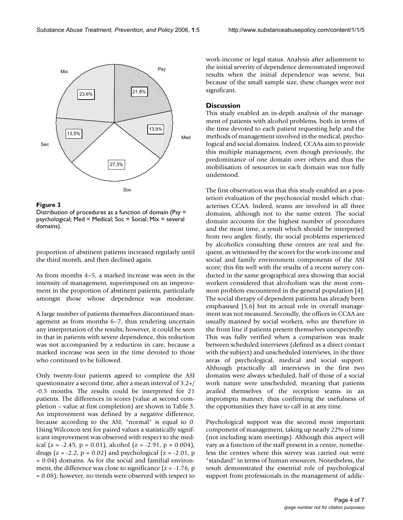

#### Figure 3

Distribution of procedures as a function of domain (Psy = psychological; Med = Medical; Soc = Social; Mix = several domains).

proportion of abstinent patients increased regularly until the third month, and then declined again.

As from months 4–5, a marked increase was seen in the intensity of management, superimposed on an improvement in the proportion of abstinent patients, particularly amongst those whose dependence was moderate.

A large number of patients themselves discontinued management as from months 6–7, thus rendering uncertain any interpretation of the results; however, it could be seen in that in patients with severe dependence, this reduction was not accompanied by a reduction in care, because a marked increase was seen in the time devoted to those who continued to be followed.

Only twenty-four patients agreed to complete the ASI questionnaire a second time, after a mean interval of 3.2+/ -0.5 months. The results could be interpreted for 21 patients. The differences in scores (value at second completion – value at first completion) are shown in Table 3. An improvement was defined by a negative difference, because according to the ASI, "normal" is equal to 0. Using Wilcoxon test for paired values a statistically significant improvement was observed with respect to the medical (z =  $-2.45$ , p = 0.01), alcohol (z =  $-2.91$ , p = 0.004), drugs ( $z = -2.2$ ,  $p = 0.02$ ) and psychological ( $z = -2.01$ ,  $p = 0.02$ ) = 0.04) domains. As for the social and familial environment, the difference was close to significance  $(z = -1.76, p$ = 0.08); however, no trends were observed with respect to work-income or legal status. Analysis after adjustment to the initial severity of dependence demonstrated improved results when the initial dependence was severe, but because of the small sample size, these changes were not significant.

#### **Discussion**

This study enabled an in-depth analysis of the management of patients with alcohol problems, both in terms of the time devoted to each patient requesting help and the methods of management involved in the medical, psychological and social domains. Indeed, CCAAs aim to provide this multiple management, even though previously, the predominance of one domain over others and thus the mobilisation of resources in each domain was not fully understood.

The first observation was that this study enabled an a posteriori evaluation of the psychosocial model which characterises CCAA. Indeed, teams are involved in all three domains, although not to the same extent. The social domain accounts for the highest number of procedures and the most time, a result which should be interpreted from two angles: firstly, the social problems experienced by alcoholics consulting these centres are real and frequent, as witnessed by the scores for the work-income and social and family environment components of the ASI score; this fits well with the results of a recent survey conducted in the same geographical area showing that social workers considered that alcoholism was the most common problem encountered in the general population [4]. The social therapy of dependent patients has already been emphasised [5,6] but its actual role in overall management was not measured. Secondly, the offices in CCAA are usually manned by social workers, who are therefore in the front line if patients present themselves unexpectedly. This was fully verified when a comparison was made between scheduled interviews (defined as a direct contact with the subject) and unscheduled interviews, in the three areas of psychological, medical and social support. Although practically all interviews in the first two domains were always scheduled, half of those of a social work nature were unscheduled, meaning that patients availed themselves of the reception teams in an impromptu manner, thus confirming the usefulness of the opportunities they have to call in at any time.

Psychological support was the second most important component of management, taking up nearly 22% of time (not including team meetings). Although this aspect will vary as a function of the staff present in a centre, nonetheless the centres where this survey was carried out were "standard" in terms of human resources. Nonetheless, the result demonstrated the essential role of psychological support from professionals in the management of addic-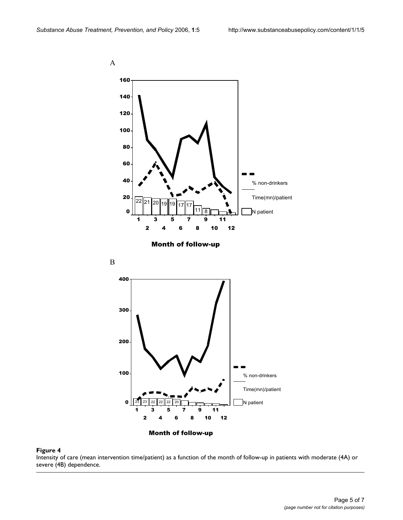

Month of follow-up

#### Intensity of care (mean intervention time/patient) as a function of the month of foll severe (4B) dependence **Figure 4** ow-up in patients with moderate (4A) or

Intensity of care (mean intervention time/patient) as a function of the month of follow-up in patients with moderate (4A) or severe (4B) dependence.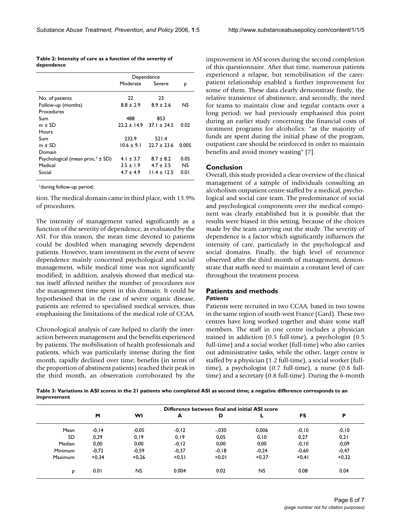|            |  |  | Table 2: Intensity of care as a function of the severity of |
|------------|--|--|-------------------------------------------------------------|
| dependence |  |  |                                                             |

|                                                  |                 | Dependence      |           |  |
|--------------------------------------------------|-----------------|-----------------|-----------|--|
|                                                  | Moderate        | Severe          | p         |  |
| No. of patients                                  | 22              | 23              |           |  |
| Follow-up (months)                               | $8.8 \pm 2.9$   | $8.9 \pm 2.6$   | NS.       |  |
| <b>Procedures</b>                                |                 |                 |           |  |
| Sum                                              | 488             | 853             |           |  |
| $m \pm SD$                                       | $22.2 \pm 14.9$ | $37.1 \pm 24.5$ | 0.02      |  |
| Hours                                            |                 |                 |           |  |
| Sum                                              | 232.9           | 521.4           |           |  |
| $m \pm SD$                                       | $10.6 \pm 9.1$  | $22.7 \pm 23.6$ | 0.005     |  |
| Domain                                           |                 |                 |           |  |
| Psychological (mean proc. <sup>1</sup> $\pm$ SD) | 4.1 $\pm$ 3.7   | $8.7 \pm 8.2$   | 0.05      |  |
| Medical                                          | $3.5 \pm 1.9$   | $4.7 \pm 3.5$   | <b>NS</b> |  |
| Social                                           | $4.7 + 4.9$     | $11.4 + 12.5$   | 0.01      |  |

<sup>1</sup>during follow-up period.

tion. The medical domain came in third place, with 13.9% of procedures.

The intensity of management varied significantly as a function of the severity of dependence, as evaluated by the ASI. For this reason, the mean time devoted to patients could be doubled when managing severely dependent patients. However, team investment in the event of severe dependence mainly concerned psychological and social management, while medical time was not significantly modified; in addition, analysis showed that medical status itself affected neither the number of procedures nor the management time spent in this domain. It could be hypothesised that in the case of severe organic disease, patients are referred to specialised medical services, thus emphasising the limitations of the medical role of CCAA.

Chronological analysis of care helped to clarify the interaction between management and the benefits experienced by patients. The mobilisation of health professionals and patients, which was particularly intense during the first month, rapidly declined over time; benefits (in terms of the proportion of abstinent patients) reached their peak in the third month, an observation corroborated by the improvement in ASI scores during the second completion of this questionnaire. After that time, numerous patients experienced a relapse, but remobilisation of the carerpatient relationship enabled a further improvement for some of them. These data clearly demonstrate firstly, the relative transience of abstinence, and secondly, the need for teams to maintain close and regular contacts over a long period; we had previously emphasised this point during an earlier study concerning the financial costs of treatment programs for alcoholics: "as the majority of funds are spent during the initial phase of the program, outpatient care should be reinforced in order to maintain benefits and avoid money wasting" [7].

#### **Conclusion**

Overall, this study provided a clear overview of the clinical management of a sample of individuals consulting an alcoholism outpatient centre staffed by a medical, psychological and social care team. The predominance of social and psychological components over the medical component was clearly established but it is possible that the results were biased in this setting, because of the choices made by the team carrying out the study. The severity of dependence is a factor which significantly influences the intensity of care, particularly in the psychological and social domains. Finally, the high level of recurrence observed after the third month of management, demonstrate that staffs need to maintain a constant level of care throughout the treatment process.

#### **Patients and methods** *Patients*

Patients were recruited in two CCAA, based in two towns in the same region of south-west France (Gard). These two centres have long worked together and share some staff members. The staff in one centre includes a physician trained in addiction (0.5 full-time), a psychologist (0.5 full-time) and a social worker (full-time) who also carries out administrative tasks, while the other, larger centre is staffed by a physician (1.2 full-time), a social worker (fulltime), a psychologist (0.7 full-time), a nurse (0.8 fulltime) and a secretary (0.8 full-time). During the 6-month

**Table 3: Variations in ASI scores in the 21 patients who completed ASI as second time; a negative difference corresponds to an improvement**

|                | Difference between final and initial ASI score |           |          |          |           |          |          |
|----------------|------------------------------------------------|-----------|----------|----------|-----------|----------|----------|
|                | M                                              | WI        | A        | D        |           | FS       | Р        |
| Mean           | $-0, 14$                                       | $-0.05$   | $-0, 12$ | $-.030$  | 0.006     | $-0.10$  | $-0, 10$ |
| SD             | 0.29                                           | 0,19      | 0, 19    | 0,05     | 0, 10     | 0,27     | 0,21     |
| Median         | 0,00                                           | 0,00      | $-0, 12$ | 0,00     | 0,00      | $-0, 10$ | $-0,09$  |
| <b>Minimum</b> | $-0,72$                                        | $-0.59$   | $-0,37$  | $-0, 18$ | $-0,24$   | $-0.60$  | $-0,47$  |
| <b>Maximum</b> | $+0.34$                                        | $+0.26$   | $+0,51$  | $+0.01$  | $+0,27$   | $+0.41$  | $+0,32$  |
| P              | 0.01                                           | <b>NS</b> | 0.004    | 0.02     | <b>NS</b> | 0.08     | 0.04     |